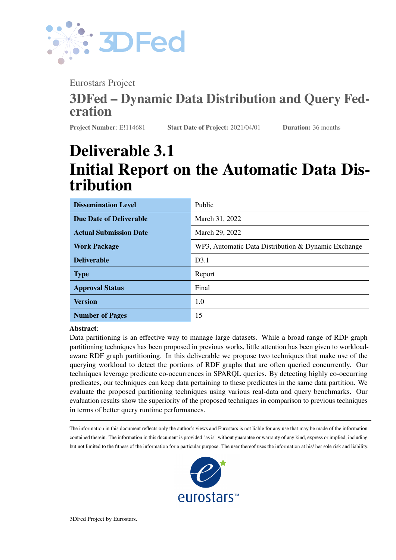

Eurostars Project

# 3DFed – Dynamic Data Distribution and Query Federation

Project Number: E!114681 Start Date of Project: 2021/04/01 Duration: 36 months

# Deliverable 3.1 Initial Report on the Automatic Data Distribution

| <b>Dissemination Level</b>     | Public                                              |
|--------------------------------|-----------------------------------------------------|
| <b>Due Date of Deliverable</b> | March 31, 2022                                      |
| <b>Actual Submission Date</b>  | March 29, 2022                                      |
| <b>Work Package</b>            | WP3, Automatic Data Distribution & Dynamic Exchange |
| <b>Deliverable</b>             | D <sub>3.1</sub>                                    |
| <b>Type</b>                    | Report                                              |
| <b>Approval Status</b>         | Final                                               |
| <b>Version</b>                 | 1.0                                                 |
| <b>Number of Pages</b>         | 15                                                  |

Abstract:

Data partitioning is an effective way to manage large datasets. While a broad range of RDF graph partitioning techniques has been proposed in previous works, little attention has been given to workloadaware RDF graph partitioning. In this deliverable we propose two techniques that make use of the querying workload to detect the portions of RDF graphs that are often queried concurrently. Our techniques leverage predicate co-occurrences in SPARQL queries. By detecting highly co-occurring predicates, our techniques can keep data pertaining to these predicates in the same data partition. We evaluate the proposed partitioning techniques using various real-data and query benchmarks. Our evaluation results show the superiority of the proposed techniques in comparison to previous techniques in terms of better query runtime performances.

The information in this document reflects only the author's views and Eurostars is not liable for any use that may be made of the information contained therein. The information in this document is provided "as is" without guarantee or warranty of any kind, express or implied, including but not limited to the fitness of the information for a particular purpose. The user thereof uses the information at his/ her sole risk and liability.

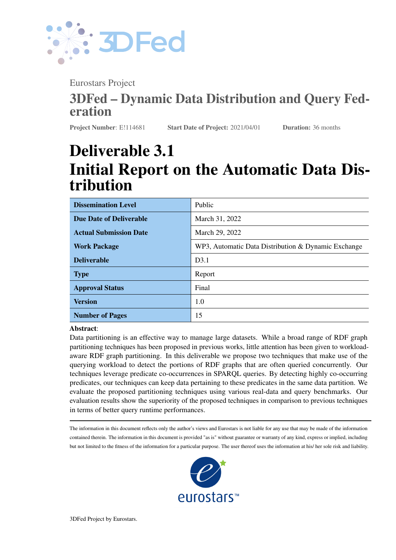

# History

| <b>Version</b> | <b>Date</b> | <b>Reason</b>                              | <b>Revised by</b> |
|----------------|-------------|--------------------------------------------|-------------------|
| 0.1            | 12/09/2021  | Initial Template & Deliverable Structure   | Muhammad Saleem   |
| 0.2            | 25/02/2022  | <b>Automatic Data Distribution Results</b> | Akhter et al.     |
| 0.3            | 23/03/2022  | Issued for review                          | Mohammad Sajjadi  |
| 0.4            | 28/03/2022  | Review                                     | Milos Jovanovik   |
| 1.0            | 29/03/2022  | Finalizing                                 | Mohammad Sajjadi  |

. . . . . . . . . . . . . . . . . . . . . . . . . . . . . . . . . . . . . . . . . . . . . . . . . . . . . . . . . . . . . . . . . . . . . . . . . . . . . . . . . . . . . . . . . . . . . . . . . . . .

# Author List

| <b>Organization</b>      | <b>Name</b>               | <b>Contact Information</b>        |
|--------------------------|---------------------------|-----------------------------------|
| University of Paderborn  | Adnan Akhter              | akhter@informatik.uni-leipzig.de  |
| University of Paderborn  | <b>Muhammad Saleem</b>    | saleem@informatik.uni-leipzig.de  |
| University of Paderborn  | Alexander Bigerl          | alexander.bigerl@uni-paderborn.de |
| University of Paderborn  | Axel-Cyrille Ngonga Ngomo | axel.ngonga@upb.de                |
| elevait GmbH & Co. KG    | Mohammad Sajjadi          | mohammad.sajjadi@elevait.de       |
| <b>OpenLink Software</b> | Milos Jovanovik           | mjovanovik@openlinksw.com         |
| <b>OpenLink Software</b> | Mirko Spasić              | mspasic@openlinksw.com            |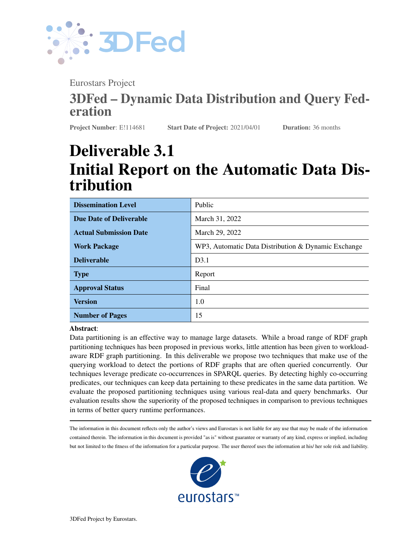

# **Contents**

| $\mathbf 1$  | <b>Introduction</b>                                       | 3  |  |  |  |
|--------------|-----------------------------------------------------------|----|--|--|--|
| $\mathbf{2}$ | <b>State-of-the-art RDF Graph Partitioning Techniques</b> |    |  |  |  |
| 3            | <b>Proposed Techniques</b>                                | 6  |  |  |  |
|              | 3.1                                                       | 6  |  |  |  |
|              | 3.2                                                       | 6  |  |  |  |
|              | 3.3                                                       | 8  |  |  |  |
| 4            | <b>Evaluation</b>                                         | 9  |  |  |  |
|              | 4.1                                                       | 9  |  |  |  |
|              | 4.2                                                       | 11 |  |  |  |
| 5            | <b>Conclusion and Future Work</b>                         | 13 |  |  |  |
|              | <b>References</b>                                         | 14 |  |  |  |

. . . . . . . . . . . . . . . . . . . . . . . . . . . . . . . . . . . . . . . . . . . . . . . . . . . . . . . . . . . . . . . . . . . . . . . . . . . . . . . . . . . . . . . . . . . . . . . . . . . .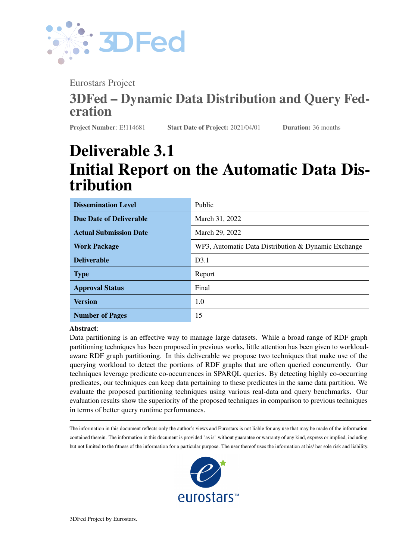D3.1 - v. 1.0

. . . . . . . . . . . . . . . . . . . . . . . . . . . . . . . . . . . . . . . . . . . . . . . . . . . . . . . . . . . . . . . . . . . . . . . . . . . . . . . . . . . . . . . . . . . . . . . . . . . .



## <span id="page-3-0"></span>1 Introduction

Partitioning large amounts of data among multiple data nodes helps improve the scalability, availability, ease of maintenance, and overall query processing performance of storage systems. Current distributed triple stores employ various RDF graph partitioning techniques [\[19\]](#page-15-1). A recent performance evaluation of various RDF graph partitioning techniques shows that there is no clear winner in terms of overall query runtime performance improvement in different partitioning environments [\[2\]](#page-14-0). This is because the evaluated RDF partitioning techniques are mostly generic and can be applied on any data graphs and hence the specific properties of RDF graphs are not taken into account. Akhter et al. [\[2\]](#page-14-0) suggest that data (i.e., a portion of a large dataset) that is queried (i.e., accessed) together in user queries, should be kept in their same partitions. The partitioning technique that take data locality into account minimize the inter-communication between partitions, thus potentially leading to better query runtimes.

The majority of the state-of-the-art RDF graph partitioning techniques only consider the underlying RDF data [\[19\]](#page-15-1). Consequently, they fail to leverage the querying history, i.e., they do not make use of information pertaining to the likelihood of particular portions of the data being queried concurrently to answer user queries. Only a few approaches address workload-based RDF partitioning, in particular [\[6,](#page-15-2) [13\]](#page-15-3). Both approaches leverage the *joins* between triple patterns in the querying workload. On the other hand, we propose a novel workloadbased RDF partitioning technique that leverages the *predicates co-occurrences* in the querying workload. The idea is that all RDF triples with predicates that are most commonly queried together should be stored in the same partition. Ideally, this should lead to one partition being consulted by the distributed RDF engine to execute SPARQL triple patterns with the most commonly co-occurred predicates. This would decrease the inter-communication cost between multiple worker nodes of the distributed RDF engines and hence, lead to better query runtime performance. The *predicate-based* partition has inherent advantages, such as its ease of managing index updates as well as dynamic data redistribution and replication [\[19\]](#page-15-1). In addition, the number of distinct predicates in the RDF datasets is usually much smaller than the number of subjects or objects, thus it is faster to group them in clusters and create the required partitions.

We propose two RDF graph partitioning techniques: 1. predicates co-occurrence-based partitioning using a greedy algorithm (PCG), and 2. predicates co-occurrence-based partitioning using extended markov clustering (PCM). Both of these techniques make use of clustering algorithms to first cluster all the predicates used in the input querying workload. The partitions are then created according to the clusters such that all triples pertaining to predicates in a given cluster are distributed into the same partition. Our overall contributions are as follows: (1) We propose two novel RDF graph partitioning techniques by using different clustering techniques that make use of the predicates co-occurrences in the querying workload. (2) We evaluate our proposed techniques by using different performance measures by using real-data benchmarks. We show the superiority of proposed techniques in comparison to the state-of-the-art RDF graph partitioning techniques. The source codes, datasets, and instructions for reproducing the complete results are publicly available on  $G$ itHub<sup>[1](#page-3-2)</sup>.

### <span id="page-3-1"></span>2 State-of-the-art RDF Graph Partitioning Techniques

State-of-the-art RDF graph partitioning techniques can be divided into various categories [\[19\]](#page-15-1):

• Hash-Based Partitioning. This type of partitioning is based on applying hash functions on the individual elements of the triples (i.e., subject , predicate, object), followed by the modulo operation: the distribution of triples to required n number of partitions is carried out by using hash( $triple element$ ) mod n. The *subject-hash-based*, *predicate-hash-based*, and *hierarchical-hash-based* partitioning are common

<span id="page-3-2"></span><sup>1</sup> <https://github.com/dice-group/workload-aware-rdf-partitioning>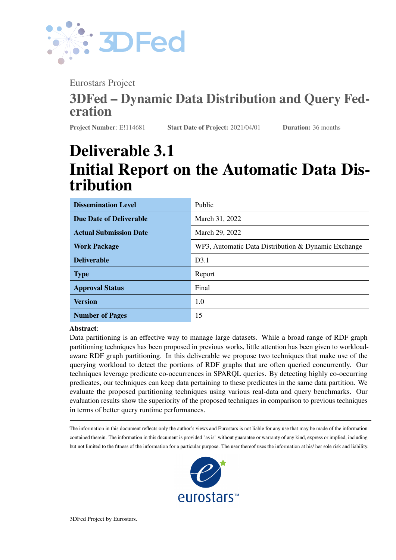

examples of partitioning from this category  $[2, 19, 11]$  $[2, 19, 11]$  $[2, 19, 11]$  $[2, 19, 11]$  $[2, 19, 11]$ . There are many distributed RDF engines<sup>[2](#page-4-0)</sup> that use *hash-based* partitioning, including Virtuoso [\[5\]](#page-15-5) and TriAD [\[8\]](#page-15-6).

. . . . . . . . . . . . . . . . . . . . . . . . . . . . . . . . . . . . . . . . . . . . . . . . . . . . . . . . . . . . . . . . . . . . . . . . . . . . . . . . . . . . . . . . . . . . . . . . . . . .

- Graph-Based Partitioning. This type of partitioning is based on clustering/distributing vertices or edges of the RDF graph. METIS<sup>[3](#page-4-1)</sup> library provides several graph-based partitioning techniques [\[11,](#page-15-4) [10\]](#page-15-7). Graph-based partitioning has been used in many distributed RDF engines [\[19\]](#page-15-1), including Koral [\[11\]](#page-15-4) and H-RDF-3X [\[10\]](#page-15-7).
- Workload-Aware Partitioning. This type of partitioning makes use of the query workload to distribute RDF triples among required partitions. Worq [\[13\]](#page-15-3) and Partout [\[6\]](#page-15-2) are examples of workload-aware RDF graph partitioning [\[6,](#page-15-2) [13\]](#page-15-3).Other examples are [\[3,](#page-14-1) [14,](#page-15-8) [4\]](#page-15-9).
- Range Partitioning. In this type of partitioning, RDF triples are distributed based on certain range values of the partitioning key. For example, it creates a separate partition of all RDF triples with Predicate age and object values between 30 and 40. Range partitioning has been used in Yars2 [\[9\]](#page-15-10) and in [\[20\]](#page-15-11).
- Vertical Partitioning. Rather than distributing RDF triples, vertical partitioning distributes individual elements of triples into different partitions or tables. Therefore, rather than storing the complete triples, it generally stores two out of the three elements of the triples. For example, SPARQLGX [\[7\]](#page-15-12) divides triples by their predicates and only stores the subject and object parts of the triples in  $n$  (equals number of distinct predicates in the RDF) predicate tables. Other examples are [\[12,](#page-15-13) [1,](#page-14-2) [17\]](#page-15-14).

We refer readers to [\[19\]](#page-15-1) for a more exhaustive overview of state-of-the-art RDF graph partitioning techniques used in state-of-the-art distributed RDF engines. An empirical evaluation of the state-of-the-art RDF graph partitioning techniques is presented in [\[2,](#page-14-0) [11\]](#page-15-4), in which seven RDF graph partitioning techniques are evaluated. For better understanding of the proposed and state-of-the-art techniques, we use a motivating example which we will carry out throughout this deliverable.

Motivating Example. Consider the set of RDF triples given in Figure [1a.](#page-5-0) Suppose we want to create three partitions of this graph and represent them in different colors (i.e., red, blue and green). Figure [1b](#page-5-0) shows the resulting partitions created by the different techniques and is explained in the subsequent paragraph.

Let T be the set of all RDF triples in a dataset and  $n$  be the required number of partitions. The Horizontal partitioning technique assigns the first  $\frac{T}{\sqrt{T}}$  triples in partition 1, the next  $\frac{T}{\sqrt{T}}$  triples in partition 2 and so on. Using this technique, our example dataset is split such that triples 1-4 are assigned into the green partition, triples 5-8 into are assigned into the red partition, and triples 9-11 are assigned into the blue partition. The Subject-Based partitioning technique assigns all triples with the same subject into the same partition. Using this technique, our example dataset is split such that triples 3, 10 and 11 are assigned into the red partition, triple 7 is assigned into the blue partition, and the remaining triples are assigned into the green partition. The Predicate-Based partitioning technique assigns all the triples with the same predicate into same partition. Using this technique, our example dataset is split such that triples 1, 7, 8, 9 and 10 are assigned into the red partition, triples 2, 3, 5, and 11 are assigned into the green partition, and remaining triples are assigned into the blue partition. The Hierarchical Partitioning technique assigns all IRIs with a common hierarchy prefix into the same partition. Using this technique, our example dataset is split such that triples 3, 7, 10 and 11 are assigned into the red partition, triples 1, 2, 4 and 8 are assigned into the green partition, and the remaining triples are assigned into the blue partition. The Recursive-Bisection partitioning technique splits the graph in two, and repeatedly applies this strategy until the desired number of partitions are generated. Using this technique, our example dataset is split such that triples 1, 2, 4, 7, and 8 are assigned into the green partition, triples 3, 5, 6, 9 and 10 are assigned into the red partition, and triple 11 is assigned into the blue partition. The TCV-Min partitioning technique

<span id="page-4-0"></span> ${}^{2}$ A complete list is provided in [\[19\]](#page-15-1).

<span id="page-4-1"></span><sup>3</sup>METIS: <http://glaros.dtc.umn.edu/gkhome/metis/metis/overview>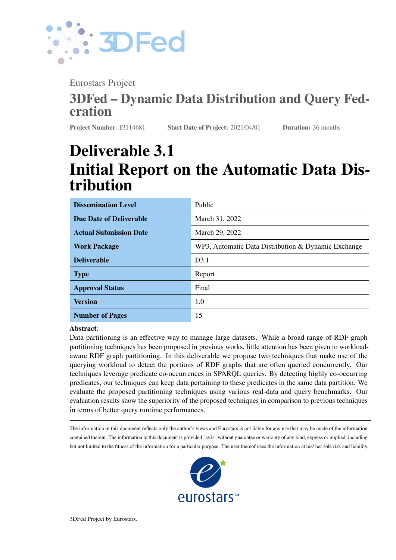<span id="page-5-0"></span>

| @prefix hierarchy1: <http: first="" r=""></http:> . @prefix hierarchy2: <http: r="" second=""></http:> .<br>@prefix hierarchy3: <http: r="" third=""></http:> . @prefix schema: <http: schema=""></http:> . |                                                                                  |                                                                                                            |                                                                 |                                                                                     |                                                                  |                                                                                      |
|-------------------------------------------------------------------------------------------------------------------------------------------------------------------------------------------------------------|----------------------------------------------------------------------------------|------------------------------------------------------------------------------------------------------------|-----------------------------------------------------------------|-------------------------------------------------------------------------------------|------------------------------------------------------------------|--------------------------------------------------------------------------------------|
| #Triple1)<br>hierarchy1:s1<br>#Triple2)<br>hierarchv1:s1<br>#Triple3)<br>hierarchv2:s2<br>#Triple4)<br>hierarchv1:s1<br>#Triple5)<br>hierarchv3:s3<br>#Triple6)<br>hierarchv3:s3                            | schema: p1<br>schema: p2<br>schema: p2<br>schema: p3<br>schema: p2<br>schema: p3 | hierarchy2:s11.<br>hierarchv2:s2.<br>hierarchy2:s4.<br>hierarchv3:s3.<br>hierarchy1:s5.<br>hierarchv2:s13. | #Triple7)<br>#Triple8)<br>#Triple9)<br>#Triple10)<br>#Triple11) | hierarchy2:s13<br>hierarchv1:s1<br>hierarchv3:s9<br>hierarchy2:s4<br>hierarchy2:s11 | schema: p1<br>schema: p4<br>schema:p1<br>schema: p4<br>schema:p2 | hierarchv2:s8<br>hierarchv3:s9<br>hierarchv2:s4<br>hierarchv2:s13<br>hierarchv1:s10. |

812



(b) Graph representation and partitioning. Only node numbers are shown for simplicity.

Figure 1: Partitioning an example RDF into three partitions using different partitioning techniques. Partitions are highlighted in different colors.

makes partitions by minimizing the communication costs of connected nodes. Using this technique, our example dataset is split such that triples 1, 2, 4, 5, 6, 8 and 9 are assigned into the green partition, triples 3, 7 and 10 are assigned into the red partition, and triple 11 is assigned into the blue partition. The Min-Edgecut partitioning technique distributes nodes by minimizing the number of edges connected to them. Using this technique, our example dataset is split such that triples 1, 2, 4, 7 and 8 are assigned into the green partition, triples 3, 5, 6, 9 and 10 are assigned into the red partition, and only triple 11 is assigned into the blue partition. In the next section, we explain our techniques in detail and show how they partition our example dataset by using a querying workload.

<span id="page-5-1"></span>

| <b>SELECT * WHERE</b> | SELECT * WHERE | SELECT * WHERE | SELECT * WHERE | SELECT * WHERE | SELECT * WHERE | SELECT * WHERE | SELECT * WHERE |
|-----------------------|----------------|----------------|----------------|----------------|----------------|----------------|----------------|
|                       |                |                |                |                |                |                |                |
| ?S :P1 ?O1.           | ?S :P1 ?O.     | ?S :P1 ?O1.    | ?S :P1 ?O.     | ?S1 :P1 ?O.    | ?O :P1 ?S.     | ?S1 :P1 ?O.    | ?S :P1 ?O.     |
| $2S : P2$ $2O2$       | ?O:P2 ?O2      | ?S :P3 ?O3     | ?O:P3 ?O3      | ?S3 :P3 ?O     | ?S:P3 ?S3      | ?S2 :P2 ?O.    | ?S :P2 ?O.     |
|                       |                |                |                |                |                |                | ?S :P3 ?O.     |
|                       |                |                |                |                |                |                | ?S:P4 ?O       |
|                       |                |                |                |                |                |                |                |

Table 1: Query examples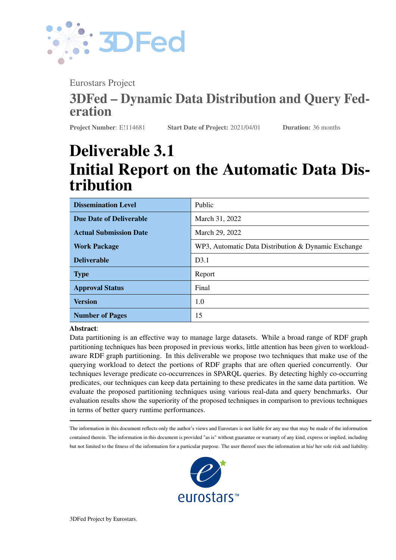<span id="page-6-3"></span>

| P <sub>1</sub> | P <sub>2</sub> | Co-occurrences     |                                                       |
|----------------|----------------|--------------------|-------------------------------------------------------|
| p1             | p2             | 4                  | e1<br>p3<br>p1                                        |
| p1             | p3             | 5                  | 5<br>e3                                               |
| p1             | p4             |                    | e <sub>2</sub><br>e6<br>14<br>1                       |
| p2             | p <sub>3</sub> |                    | e4                                                    |
| p2             | p4             |                    | e <sub>5</sub><br>p <sub>2</sub><br>p4<br>1           |
| p3             | p4             |                    | (b) Weighted graph of the predicate<br>co-occurrences |
| (a)            |                | Predicate<br>$CO-$ |                                                       |
|                | occurrences    |                    |                                                       |

Figure 2: The predicate co-occurrences table and corresponding weighted graph for the example queries given in table [1.](#page-5-1)

### <span id="page-6-0"></span>3 Proposed Techniques

Both of our techniques are comprised of three main steps: (i) extract a list of predicate co-occurrences from a querying workload and model them as a weighted graph (Section [3.1\)](#page-6-1), (ii) use this weighted graph as an input to generate clusters of predicates (Section [3.2\)](#page-6-2), and (iii) allocate the obtained clusters to partitions (Section [3.3\)](#page-8-0). In the following discussion, we suppose we have a workload of eight queries as shown in Table [1.](#page-5-1)

#### <span id="page-6-1"></span>3.1 Graph Modeling

Since both techniques are based on query workload, we assume that we are given a query workload  $Q =$  $f_{q_1}, \ldots, q_n$  of SPARQL queries. Ideally, the query workload Q contains real-world queries posted by the users of the RDF dataset, which can be collected from the query log of the running system. However, real user queries might not be available. In this case the query workload can be either estimated from queries in applications accessing the RDF data or synthetically generated with the help of the domain experts of the given RDF dataset that needs to be partitioned.

For a given work load  $Q = fq_1, \ldots, q_nq$ , we create a predicates co-occurrence list  $L = fe_1, \ldots, e_mq$ where each entry is a tuple  $e = \langle p_1, p_2, c \rangle$ , with  $p_1, p_2$  two different predicates used in the triple patterns of SPARQL queries in the given workload, and  $c$  is the co-occurrence count, i.e. the number of queries in which both  $p_1$  and  $p_2$  are co-occurred. By looking at our query examples given in Table [1,](#page-5-1) the predicates  $p_1$ , and  $p_2$ co-occurred in a total of 4 queries, thus one entry of the L will be  $\langle p_1, p_2, 4 \rangle$ . For the sake of simplicity, the corresponding predicate-to-predicate co-occurrence list for our query examples is shown in [Figure 2a.](#page-6-3) Finally, we model the list L as a weighted graph, such that for a given list entry  $e = \langle p_1, p_2, c \rangle$ , we create two nodes (one each for  $p_1$  and  $p_2$ ) that are connected by a link with weight equalling c. The corresponding weighted graph is shown in Figure [2b.](#page-6-3)

#### <span id="page-6-2"></span>3.2 Graph Clustering

We propose two clustering algorithms to generate clusters of predicates from the weighted predicates graph generated in the previous section.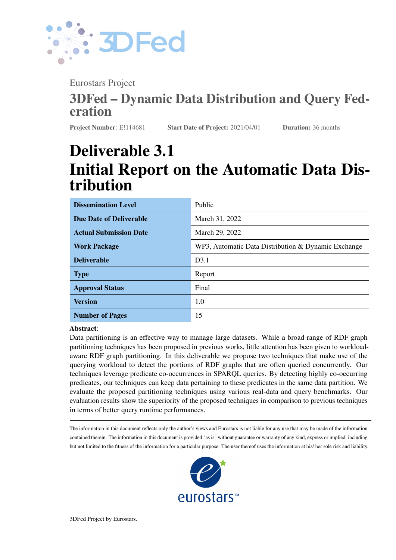

#### Algorithm 1: Adapted Markov Clustering



. . . . . . . . . . . . . . . . . . . . . . . . . . . . . . . . . . . . . . . . . . . . . . . . . . . . . . . . . . . . . . . . . . . . . . . . . . . . . . . . . . . . . . . . . . . . . . . . . . . .

<span id="page-7-2"></span><span id="page-7-0"></span>Figure 3: Creation of a matrix during PCM using our weighted graph

PCM Clustering. Algorithm [1](#page-7-0) shows the predicate clustering using a modified version of the well-known Markov<sup>[4](#page-7-1)</sup> clustering. For the input weighted predicates graph G, a transition matrix T is created which is then normalized (Lines 2-3 of [algorithm 1\)](#page-7-0). A transition matrix is basically a matrix representation of a weighted graph. Since our weighted graph shown in [Figure 2b](#page-6-3) has four nodes, a 4 4 (one row and column for each predicate vertex) matrix will be created. The corresponding transition matrix is shown in [Figure 3.](#page-7-2) The normalization of the matrix is done by dividing each element of a particular row by the sum of all the elements in that row. The normalized matrix is show in [Figure 3.](#page-7-2)

The next two steps are the standard *expansion* and *inflation* of the Markov clustering, applied on the normalized transition matrix. These steps are continued until residual value is greater than maximum residual (Lines 4-8 of [algorithm 1\)](#page-7-0). The expansion is a simple self-multiplication of the matrix, raise to power of input parameter e. The inflate part is according to the inflate stochastic matrix by Hadamard (elementwise) exponentiation<sup>[5](#page-7-3)</sup>.

The last step is to interpret the resulting transition matrix to discover  $n$  clusters. This is achieved by sequentially adding non-zero row-wise values of matrix  $T$  to a cluster. For example, in our final matrix shown in [Figure 3,](#page-7-2) the first non-zero row-wise value is 0.66 at position  $T_{1,2}$ . Thus, the corresponding predicates, i.e.  $p_1, p_2$ , will be added into a single cluster. The next non-zero row-wise value is at position  $T_{2,4}$ , which corresponds to predicates  $p_1$ ,  $p_4$ . Since  $p_1$  already exists, only  $p_4$  will be added into the cluster. Finally,  $p_3$  will be added. Now our cluster contains a sequential list of predicates  $fp_1, p_2, p_4, p_3g$ . Since we need n partitions, we simply divide the total elements from the cluster by  $n$  number of required partitions to get the number of elements from the sequential list of elements to be combined into a single partition. In our case, the number of elements is 4 while desired partitions are 3. Thus, we divide 4/3 and assign the first two elements (i.e.,  $p_1, p_2$ ) to partition 1 and the

<span id="page-7-1"></span><sup>4</sup>Markov clustering: <https://micans.org/mcl/>

<span id="page-7-3"></span><sup>5</sup> Inflate: <http://java-ml.sourceforge.net/api/0.1.1/net/sf/javaml/clustering/mcl/MarkovClustering.html>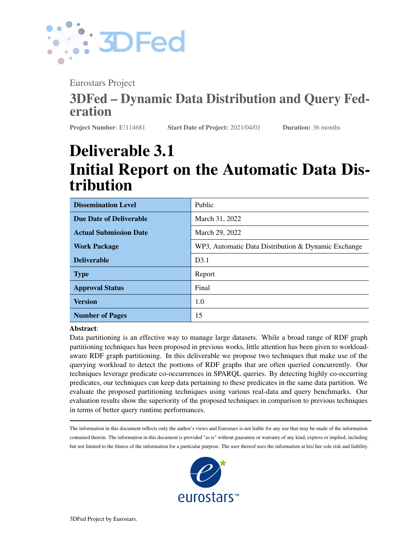

Algorithm 2: Greedy Clustering

|                                                                                            | 1 $PG(G, D, n)$ /* Input: Weighted predicates graph G, Dataset D to be partitioned, n        |                                      |  |  |
|--------------------------------------------------------------------------------------------|----------------------------------------------------------------------------------------------|--------------------------------------|--|--|
|                                                                                            | number of required clusters                                                                  | $\star/$                             |  |  |
|                                                                                            | 2 $t =  D /n$ 1;                                                                             | // Size of a partition               |  |  |
|                                                                                            | $3 E = getSortedEdges(G);$ /* Obtain all edges between the predicates according to their     |                                      |  |  |
|                                                                                            | weight $*/$                                                                                  |                                      |  |  |
|                                                                                            | 4 $C = fc_1 \ldots c_n q;$                                                                   | // Required clusters                 |  |  |
| $5 \t i = 1$ ;                                                                             |                                                                                              |                                      |  |  |
|                                                                                            | 6 forall $e_i \, 2E$ do                                                                      |                                      |  |  |
|                                                                                            | $P(p_k, p_l)$ = getNodesPair(G, $e_i$ ) /* Obtain both nodes (predicates) that are connected |                                      |  |  |
|                                                                                            | by the edge $e_i$                                                                            | $\star/$                             |  |  |
| $T =$ getTriplesCount(D, $P(p_k, p_l)$ ) /* get the combined count of the triples for<br>8 |                                                                                              |                                      |  |  |
| predicates $p_k$ and $p_l$ from dataset $D$<br>$\star/$                                    |                                                                                              |                                      |  |  |
| $\overline{9}$                                                                             | <b>if</b> $ c_i  < t$ /* if size of triples in cluster $c_i$ is less than the threshold t    | $\star/$                             |  |  |
| 10                                                                                         | then                                                                                         |                                      |  |  |
| 11                                                                                         | $\begin{vmatrix} c_i & f p_k, p_l g \end{vmatrix}$                                           | // assign both predicates to cluster |  |  |
| 12                                                                                         | else                                                                                         |                                      |  |  |
| 13                                                                                         | $i = i + 1;$                                                                                 | // move to next cluster              |  |  |
| 14                                                                                         | end                                                                                          |                                      |  |  |
| 15 end                                                                                     |                                                                                              |                                      |  |  |
| 16 return $C$ ;                                                                            |                                                                                              | // Clusters                          |  |  |

<span id="page-8-1"></span>next element (i.e.,  $p_4$ ) into partition 2 and the final element  $p_3$  into partition 3. The final cluster of predicates is shown in Figure [4a.](#page-9-2) Please note that it is possible that there exist many predicates in the RDF dataset that are not used in the query workload. In that case we assign a single separate partition for all unused predicates.

PCG Clustering. Algorithm [2](#page-8-1) shows the predicate clustering using the proposed greedy clustering method. The first step is to calculate the expected size (in terms of the number of triples) of each partition. The next step is to obtain all edges between predicates according to their increasing order of weights. For the graph given in [Figure 2b,](#page-6-3) our sorted list of edges will be  $E = fe_1, e_2, e_3, e_4, e_5, e_6$ . The next step is to loop through each edge  $e_i$  2 E and get the corresponding predicates that are connected by the given edge  $e_i$  (Lines 6-7 of [algorithm 2\)](#page-8-1). We then get the combined count of the triples for predicates  $p_k$  and  $p_l$  from input dataset D. If the current size of the cluster  $c_i$  is less than the threshold t, both predicates are added into the same cluster  $c_i$ . However, if the size of the current cluster exceeds the threshold, a new cluster is created for the upcoming predicates (Lines 8-14 of [algorithm 2\)](#page-8-1). The final three clusters of predicates are shown in Figure [4b.](#page-9-2) Please note that, as with PCM, it is possible that there exist many predicates in the RDF dataset that are not used in the query workload. In that case, we assign a single separate partition for all unused predicates.

#### <span id="page-8-0"></span>3.3 Assigning Clusters to Partitions

The clustering algorithms explained in the previous steps give  $n$  clusters of predicates. In the last step, triples from a given RDF dataset  $D$  are distributed into partitions according to the aforementioned predicate-based partitions: for each predicate p in a specific cluster  $c_i$ , assign all the triples with predicate  $p \nleq D$  into the same partition. Figure [5a](#page-10-0) and [5b](#page-10-0) show the final partitions created by both of the proposed techniques. Please note that these partitions are different from all the techniques shown in [Figure 1b.](#page-5-0)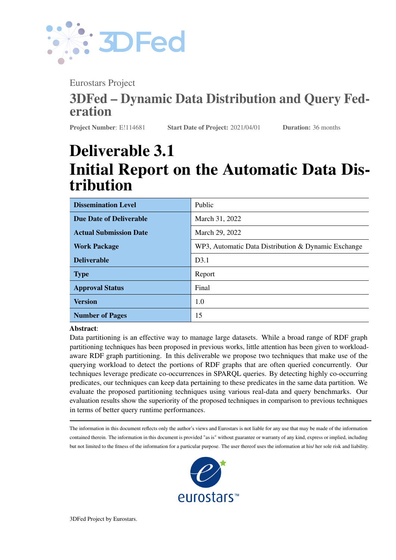

<span id="page-9-2"></span>

Figure 4: Predicate clusters created by the proposed techniques for the example RDF dataset given in [Figure 1a.](#page-5-0) Clusters are highlighted in different colors

### <span id="page-9-0"></span>4 Evaluation

#### <span id="page-9-1"></span>4.1 Evaluation Setup

We have exactly reused the evaluation setup discussed in [\[2\]](#page-14-0). The reasons for choosing this evaluation setup are two-fold: (1) since our proposed techniques require query workloads, we wanted to use real-world query workloads (i.e., collected from public SPARQL endpoints of real-world RDF datasets), and real-world RDF benchmarks, (2) we wanted our results to be comparable with the results presented in [\[2\]](#page-14-0).

Datasets. As in [\[2\]](#page-14-0), we used two real-world datasets: *DBpedia 3.5.1* and the *Semantic Web Dog Food (SWDF)*, for partitioning.

Benchmark Queries (test queries). As in [\[2\]](#page-14-0), we used four sets of real-world SPARQL benchmark queries (300 queries each): *(1) SWDF BGP-only* is the SWDF benchmark containing only single BGP queries; the other SPARQL features such as OPTIONAL, UNION etc. are not used, *(2) SWDF fully-featured* is the SWDF benchmark containing fully-featured (multiple BGPs, aggregates, functions etc.) SPARQL queries, *(3) DBpedia BGP-only* is the DBpedia benchmark only containing single BGP queries, and *(4) DBpedia fully-featured* benchmark queries contain not only single BGPs but may also include additional constructs. These benchmarks are generated by using FEASIBLE [\[15\]](#page-15-15), a real benchmark generation framework, out of query logs.

Workloads (train queries). We used a query workload of 3000 queries each for DBpedia and SWDF, which are selected from real-world query logs of these datasets. The reason for choosing 3000 was according to the 10-fold cross validation<sup>[6](#page-9-3)</sup>, which suggests choosing 10% test queries and 90% training queries.

Partitioning Environments. As in [\[2\]](#page-14-0), we used two distinct partitioning environments to evaluate our techniques: (1) a clustered or distributed RDF storage environment, where the given dataset is distributed among  $n$  data nodes of a clustered triple store, (2) a purely federated environment, in which the dataset is distributed among multiple SPARQL endpoints that are physically separated from each other and a federation engine is used to perform the query processing task. We used *Koral* [\[11\]](#page-15-4) distributed RDF engines for the first type of partitioning environment. We chose *Koral* due to its flexibility in choosing different partitioning methods for data distribution among data nodes. In addition, it was previously used in [\[2\]](#page-14-0). We used *FedX* [\[18\]](#page-15-16) and *SemaGrow* for the second type of partitioning environment. The reason for choosing these two engines was because of their different query planning strategies: *FedX* implements an index-free and heuristic-based query planner,

<span id="page-9-3"></span><sup>6</sup> <https://machinelearningmastery.com/k-fold-cross-validation/>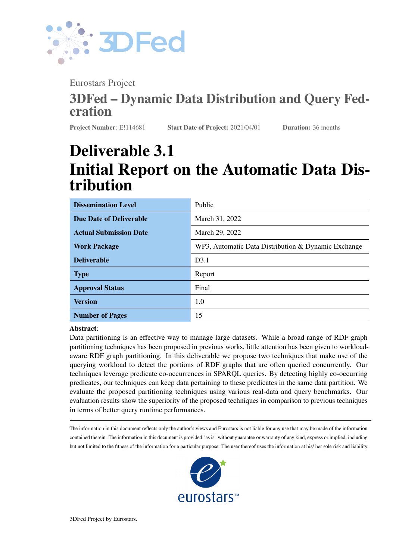<span id="page-10-0"></span>

Figure 5: Final three partitions created by the proposed techniques for the example RDF dataset given in [Figure 1a.](#page-5-0) Partitions are highlighted in different colors)

**MCL Results are**  while *Semacrow* implements an index-assisted and cost-based query planner. Both were also used in [2]. It is<br>important to note that Koral does not support many of the SPARQL features used in the fully-featured SPARQL **Partition**<br>**Partition**<br>**P**<sub>1</sub> **P**<sub>1</sub> while *SemaGrow* implements an index-assisted and cost-based query planner. Both were also used in [\[2\]](#page-14-0). It is benchmarks. Therefore, we used BGP-only queries in our Koral-based evaluation.

**Partitions.** Inspired by [2] and [16], we generated 10 partitions of the selected datasets. Therefore<br>10 slaves were created in Koral, each one responsible for one partition. Similarly, we used 10 Linux-based<br>Virtuoso 7.1 **Partition** P11 **P11 P3 Partition** and the case of the parties stored one engines physically federate the given SPARQL query over these endpoints. To staves were created in Koral, each one responsible for one partition. Similarly, we used to Linux-based Virtuoso 7.1 SPARQL endpoints and each of these endpoints stored one partition. The selected federation Number of Partitions. Inspired by [\[2\]](#page-14-0) and [\[16\]](#page-15-17), we generated 10 partitions of the selected datasets. Therefore,

> **Selected RDF Graph Partitioning Techniques.** We selected state-of-the-art RDF graph partitioning techniques pased on the following criteria: (1) open source and configurable, (2) working for KDF data, (5) scaleable to medium-large datasets, such as DBpedia in our case, (4) take the RDF dataset and/or workload as input and  $\frac{1}{2}$  based on the following criteria: (1) open source and configurable, (2) working for RDF data, (3) scaleable to give the required number of RDF chunks as output, and (5) do not require online services such as cloud or<br>configuring online detects. Beard on this suitaria, we selected top. Heritagtal, Subject Beard Burdiests Beard configuring online datasets. Based on this criteria, we selected ten – Horizontal, Subject-Based, Predicate-Based, Hierarchical, Recursive-Bisection, TCV-Min, Min-Edgecut, Partout, PCG, PCM – RDF graph partitioning techniques to consider in the evaluation results. Please note that the workload-aware technique Partout only worked for SWDF datasets; for DBpedia, it was unable to partition the dataset in 3 days<sup>[7](#page-10-1)</sup>.

> Performance Measures. As in [\[2\]](#page-14-0), we used five performance measures: partitions generation time, Queries per Second (QpS) [\[2,](#page-14-0) [15\]](#page-15-15), overall rank score, partitioning imbalance, and the total number of sources selected for the complete benchmark execution in a purely federated environment. We used a three minutes timeout for query execution [\[15,](#page-15-15) [2\]](#page-14-0) of each query.

<span id="page-10-2"></span>The rank score of the partitioning technique is defined as follows [\[2\]](#page-14-0):

Definition 1 (Rank Score) *Let* t *be the total number of partitioning techniques and* b *be the total number of benchmark executions that are used in the evaluation. Let* 1  $r$  t *denote the rank number and*  $O_p(r)$  *denote the occurrence of a partitioning technique* p *placed at rank* r*. The rank score of the partitioning technique* p *is*

<span id="page-10-1"></span><sup>&</sup>lt;sup>7</sup>We have discussed this issue with the authors of the Partout system.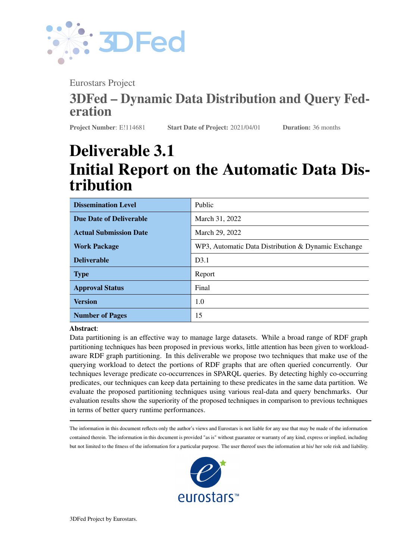

*defined as follows:*

<span id="page-11-1"></span>
$$
s := \sum_{r=1}^{t} \frac{O_p(r) - (t - r)}{b(t - 1)}, 0 \quad s \quad 1
$$

In our evaluation, we have a total of ten partitioning techniques (i.e.,  $t = 10$  for SWDF, and 9 for DBpedia) and total benchmarks executions  $b = 10$  (i.e., 4 benchmarks by FedX + 4 benchmarks by SemaGrow + 2 benchmarks by Koral).

The partitioning imbalance in the size of the generated partitions is defined as follows [\[2\]](#page-14-0):

Definition 2 (Partitioning Imbalance) *Let n be the total number of partitions generated by a partitioning technique and*  $P_1, P_2, \ldots, P_n$  *be the set of these partitions, ordered according to the increasing size of the number of triples. The imbalance in partitions is defined as a Gini coefficient:*

$$
b := \frac{2\sum_{i=1}^{n} (i \quad jP_i j)}{(n-1)} \frac{\sum_{j=1}^{n} jP_j j}{n-1}, 0 \quad b \quad 1
$$

Hardware and Software Specifications. The hardware and software configuration for our techniques is the same as [\[2\]](#page-14-0), i.e., all our experiments are executed on a Ubuntu-based machine with Intel Xeon 2.10 GHz, 64 cores and 512 GB of RAM. We conducted our experiments on local copies of Virtuoso (version 7.1) SPARQL endpoints. We used default configurations for FedX, SemaGrow and Koral (except the slaves were changed from 2 to 10 in Koral).

#### <span id="page-11-0"></span>4.2 Evaluation Results

Please note that the PartOut (PT) results are only shown for SWDF as it was unable to partition the DBpedia dataset.

Partition Generation Time. Figure [6](#page-12-0) shows a comparison of the total time taken to generate the required 10 partitions for both datasets used in our evaluation. PT took the highest amount of time followed by PCG, Min-Edgecut, Recursive-Bisection, TCV-Min, PCM, Hierarchical, Predicate-Based, Subject-Based and Horizontal, respectively. The remainder of the discussion is focused on PCG, as it is the best performing method proposed in our deliverable.

Query per Second (QpS). Query per Second (QpS) is important to measure the query runtime performances pertaining to different partitioning techniques. The idea is to find out how many queries are executed by a technique in one second. The higher the QpS, the better the query runtime performance. Figure [7](#page-13-1) shows a comparison of the QpS values of the selected partitioning techniques for each of the four benchmarks and three different query execution engines. Since Koral only supports BGP-only queries, we used SWDF-BGP and DBpedia-BGP benchmarks. For every timeout query, we added an extra 180 seconds to the total benchmark execution time. The results suggest that the proposed PCG method clearly outperforms the other partitioning methods in the majority of benchmark executions. In particular, PCG ranked first or second in 7/10 benchmark executions.

Rank Scores. From the QpS results, it is rather hard to determine the overall winner in terms of the query runtime performance. The rank score shows the overall ranking of a particular method with respect to other selected methods across the completed benchmark executions. The rank score is a value between 0 and 1, where 1 represents the highest ranking. [Figure 8a](#page-14-3) represents the computed rank scores pertaining to each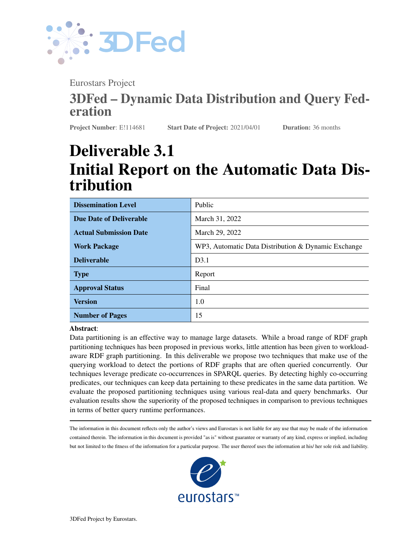

<span id="page-12-0"></span>

Figure 6: Time taken for the creation of 10 partitions in seconds. (PB = Predicate-Based, SB = Subject-Based,  $HI = Hierarchical$ ,  $HO = Horizontal$ ,  $TC = TCV$ -Min,  $ME = Min$ -Edgecut,  $RB = Recursively$  Bisection,  $PT =$ Partout)

partitioning technique according to Definition [1.](#page-10-2) The overall results show that that PCG has the highest ranked score, followed by PT, PCM, TCV-Min, Predicate-Based, Horizontal, Recursive-Bisection, Subject-Based, Hierarchical, and Min-Edgecut, respectively.

Partitioning Imbalance. Figure [8b](#page-14-3) shows the partitioning imbalance values (Definition [2\)](#page-11-1) of the partitions generated by the selected partitioning techniques. Horizontal portioning results in the smallest partitioning imbalance, followed by Hierarchical, Subject-Based, PCM, PCG, Min-Edgecut, Recursive-Bisection, TCV-Min, Partout, and Predicate-Based, respectively.

Number of Sources Selected. The number of sources selected (SPARQL endpoints in our case) by the federation engine to execute a given SPARQL query is a key performance metric for federated SPARQL querying engines [\[16\]](#page-15-17). The smaller the number of sources selected, the smaller the communication cost, and hence the better the query runtime performance [\[2,](#page-14-0) [16\]](#page-15-17). Figure [9](#page-14-4) shows the total number of distinct sources selected by FedX and SemaGrow. For SWDF, PT selects the smallest sources followed by PCG and PCM. As an overall (1200 queries) source selection evaluation, PCG selects the least number of sources, followed by PCM, Predicate-Based, Min-Edgecut, TCV-Min, Recursive-Bisection, Subject-Based, Hierarchical and Horizontal, respectively.

Key observation. The results show that PCG significantly outperformed the other selected techniques for SWDF benchmarks [\(Figure 7a,](#page-13-1) [Figure 7b,](#page-13-1) [Figure 7e,](#page-13-1) [Figure 7f,](#page-13-1) [Figure 7g\)](#page-13-1) in comparison to DBpedia benchmarks [\(Figure 7c,](#page-13-1) [Figure 7d,](#page-13-1) [Figure 7h\)](#page-13-1). The average QpS of PCG is 20.07 for SWDF benchmarks, which is 3.30 times faster than the second-best performing partitioning method. On the other hand, the average QpS of PCG is 0.028 for DBpedia benchmarks which is only 1.06 times faster than the second-best performing partitioning method. A detailed investigation of query workload and RDF datasets reveals that the query workload used for our SWDF evaluation already covered 63.7% of the total 185 predicates used in the SWDF dataset. Thus, more predicates were correctly grouped into the desired partitions. On the other hand, the DBpedia dataset contains a total of 39672 distinct predicates and only 0.55% were covered by the used workload. As a result, a majority of the predicates were grouped into a separate partition of unused predicates. Consequently, only a small portion of the predicates were correctly mapped into correct partitions. In conclusion, the complexity of dataset and workload's quality and size can have a significant impact on the quality of partitioning achieved via the proposed methods in our work.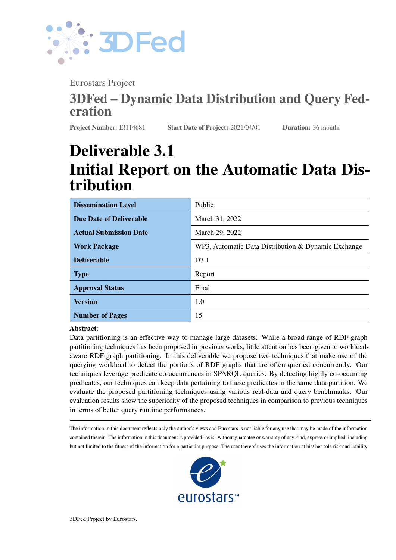

<span id="page-13-1"></span>

Figure 7: QpS (for all four benchmarks) including timeouts. (SW = Semantic Web Dog Food, DB = DBpedia, BGP = Basic Graph Pattern, FF = Fully Featured, PB = Predicate-Based, SB = Subject-Based, Hi= Hierarchical,  $Ho = Horizontal, TC = TCV-Min, ME = Min-Edgecut, RB = Recursively Bisection, PT = Partout)$ 

### <span id="page-13-0"></span>5 Conclusion and Future Work

In this deliverable, we presented two RDF graph partitioning techniques based on querying workloads that leverage the predicate co-occurrences in these workloads. Our overall results suggest the superiority of our proposed techniques compared to the previous techniques, in terms of better query runtime performances, number of timeout queries, overall rank score, and number of distinct sources selected. It has been observed that the quality and size of the workload is key to achieving better results via the proposed methods. The partitioning techniques that take the data locality (i.e., data chunks that are queried together by users are kept in same partition) into account can lead to significant performance improvements. Our proposed techniques naturally lead to predicate-based indexing used in existing state-of-the-art RDF engines. Furthermore, the created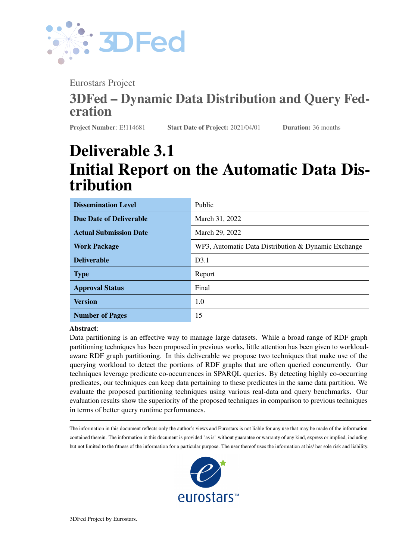<span id="page-14-3"></span>

Figure 8: Rank scores and partitioning imbalance of the partitioning techniques. (PB = Predicate-Based, SB= Subject-Based, Hi= Hierarchical, Ho = Horizontal, TC = TCV-Min, ME Min-Edgecut, RB = Recursive Bisection,  $PT = Partout)$ 

<span id="page-14-4"></span>

Figure 9: Total distinct sources selected

partitions are easy to manage in terms of index updates or dynamic shuffling of data among multiple data nodes of a clustered triplestore. In the future, we want to measure the effect of querying workloads on the accuracy of data distribution. In addition, it is highly possible that the initial distribution of data is sub-optimal and thus dynamic shuffling of data is necessary. To this end, we want to propose a self updating, dynamic data distribution mechanism based on experienced work-load.

#### References

- <span id="page-14-2"></span>[1] Abadi et al. Scalable semantic web data management using vertical partitioning. 2007.
- <span id="page-14-0"></span>[2] Akhter et al. An empirical evaluation of rdf graph partitioning techniques. In *European Knowledge Acquisition Workshop*, 2018.
- <span id="page-14-1"></span>[3] Al-Ghezi et al. Adaptive workload-based partitioning and replication for rdf graphs. In *International Conference on Database and Expert Systems Applications*, 2018.